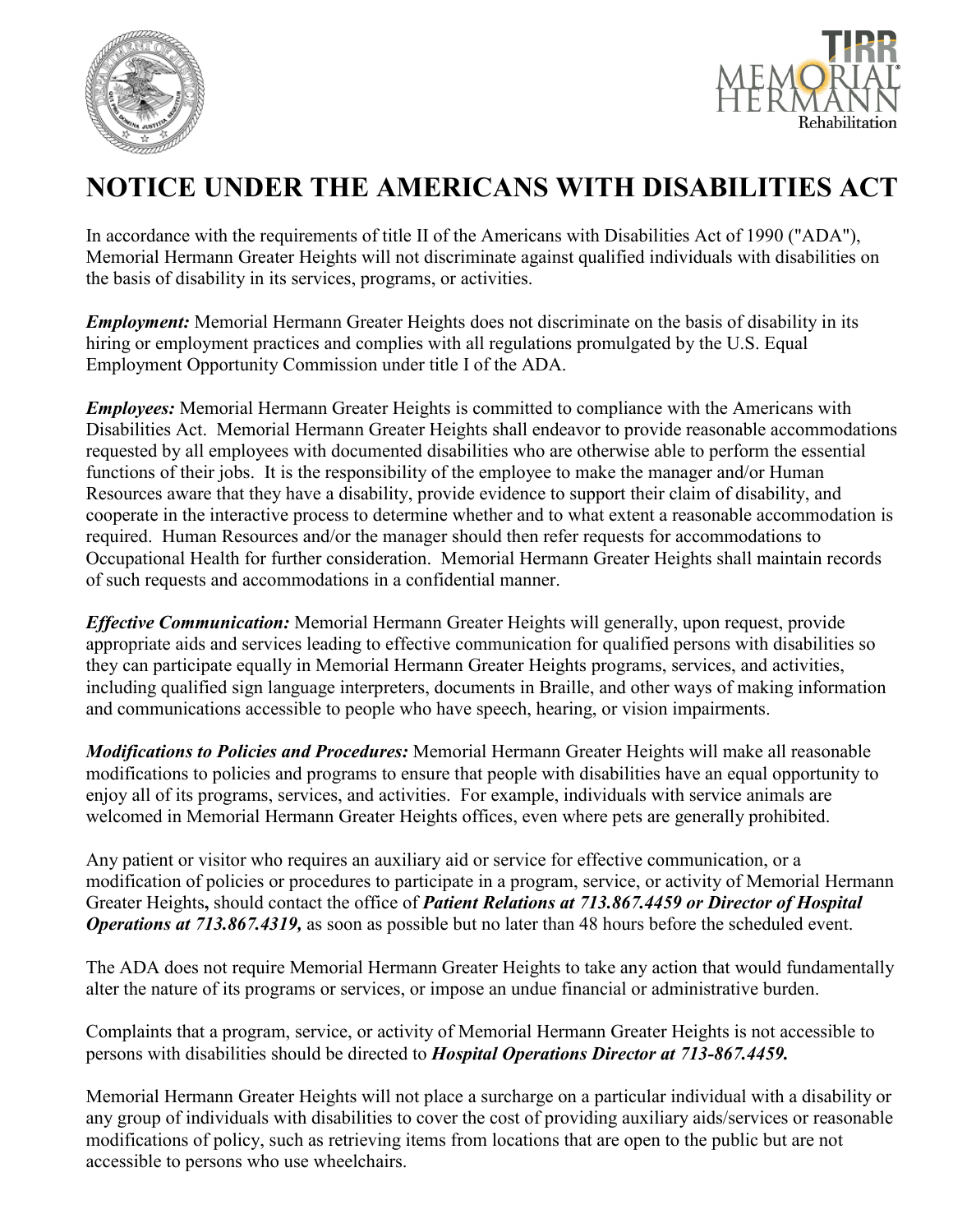



## **NOTICE UNDER THE AMERICANS WITH DISABILITIES ACT**

In accordance with the requirements of title II of the Americans with Disabilities Act of 1990 ("ADA"), Memorial Hermann Greater Heights will not discriminate against qualified individuals with disabilities on the basis of disability in its services, programs, or activities.

*Employment:* Memorial Hermann Greater Heights does not discriminate on the basis of disability in its hiring or employment practices and complies with all regulations promulgated by the U.S. Equal Employment Opportunity Commission under title I of the ADA.

*Employees:* Memorial Hermann Greater Heights is committed to compliance with the Americans with Disabilities Act. Memorial Hermann Greater Heights shall endeavor to provide reasonable accommodations requested by all employees with documented disabilities who are otherwise able to perform the essential functions of their jobs. It is the responsibility of the employee to make the manager and/or Human Resources aware that they have a disability, provide evidence to support their claim of disability, and cooperate in the interactive process to determine whether and to what extent a reasonable accommodation is required. Human Resources and/or the manager should then refer requests for accommodations to Occupational Health for further consideration. Memorial Hermann Greater Heights shall maintain records of such requests and accommodations in a confidential manner.

*Effective Communication:* Memorial Hermann Greater Heights will generally, upon request, provide appropriate aids and services leading to effective communication for qualified persons with disabilities so they can participate equally in Memorial Hermann Greater Heights programs, services, and activities, including qualified sign language interpreters, documents in Braille, and other ways of making information and communications accessible to people who have speech, hearing, or vision impairments.

*Modifications to Policies and Procedures:* Memorial Hermann Greater Heights will make all reasonable modifications to policies and programs to ensure that people with disabilities have an equal opportunity to enjoy all of its programs, services, and activities. For example, individuals with service animals are welcomed in Memorial Hermann Greater Heights offices, even where pets are generally prohibited.

Any patient or visitor who requires an auxiliary aid or service for effective communication, or a modification of policies or procedures to participate in a program, service, or activity of Memorial Hermann Greater Heights**,** should contact the office of *Patient Relations at 713.867.4459 or Director of Hospital Operations at 713.867.4319,* as soon as possible but no later than 48 hours before the scheduled event.

The ADA does not require Memorial Hermann Greater Heights to take any action that would fundamentally alter the nature of its programs or services, or impose an undue financial or administrative burden.

Complaints that a program, service, or activity of Memorial Hermann Greater Heights is not accessible to persons with disabilities should be directed to *Hospital Operations Director at 713-867.4459.*

Memorial Hermann Greater Heights will not place a surcharge on a particular individual with a disability or any group of individuals with disabilities to cover the cost of providing auxiliary aids/services or reasonable modifications of policy, such as retrieving items from locations that are open to the public but are not accessible to persons who use wheelchairs.